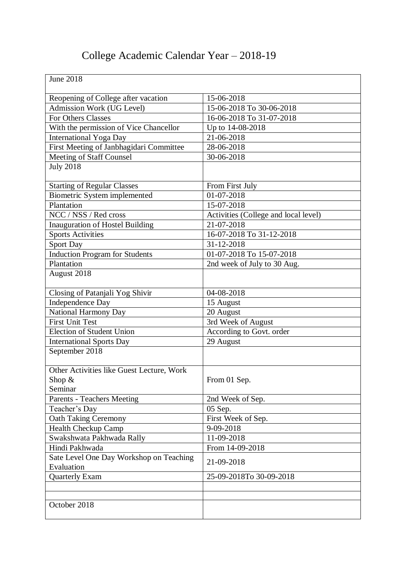## College Academic Calendar Year – 2018-19

| <b>June 2018</b>                                               |                                      |
|----------------------------------------------------------------|--------------------------------------|
| Reopening of College after vacation                            | 15-06-2018                           |
| <b>Admission Work (UG Level)</b>                               | 15-06-2018 To 30-06-2018             |
| <b>For Others Classes</b>                                      | 16-06-2018 To 31-07-2018             |
| With the permission of Vice Chancellor                         | Up to 14-08-2018                     |
| <b>International Yoga Day</b>                                  | 21-06-2018                           |
| First Meeting of Janbhagidari Committee                        | 28-06-2018                           |
| Meeting of Staff Counsel                                       | 30-06-2018                           |
| <b>July 2018</b>                                               |                                      |
| <b>Starting of Regular Classes</b>                             | From First July                      |
| <b>Biometric System implemented</b>                            | 01-07-2018                           |
| Plantation                                                     | 15-07-2018                           |
| NCC / NSS / Red cross                                          | Activities (College and local level) |
| <b>Inauguration of Hostel Building</b>                         | 21-07-2018                           |
| <b>Sports Activities</b>                                       | 16-07-2018 To 31-12-2018             |
| Sport Day                                                      | 31-12-2018                           |
| <b>Induction Program for Students</b>                          | 01-07-2018 To 15-07-2018             |
| Plantation                                                     | 2nd week of July to 30 Aug.          |
| August 2018                                                    |                                      |
| Closing of Patanjali Yog Shivir                                | 04-08-2018                           |
| <b>Independence Day</b>                                        | 15 August                            |
| National Harmony Day                                           | 20 August                            |
| <b>First Unit Test</b>                                         | 3rd Week of August                   |
| <b>Election of Student Union</b>                               | According to Govt. order             |
| <b>International Sports Day</b>                                | 29 August                            |
| September 2018                                                 |                                      |
| Other Activities like Guest Lecture, Work<br>Shop &<br>Seminar | From 01 Sep.                         |
| <b>Parents - Teachers Meeting</b>                              | 2nd Week of Sep.                     |
| Teacher's Day                                                  | 05 Sep.                              |
| <b>Oath Taking Ceremony</b>                                    | First Week of Sep.                   |
| <b>Health Checkup Camp</b>                                     | 9-09-2018                            |
| Swakshwata Pakhwada Rally                                      | 11-09-2018                           |
| Hindi Pakhwada                                                 | From 14-09-2018                      |
| Sate Level One Day Workshop on Teaching<br>Evaluation          | 21-09-2018                           |
| <b>Quarterly Exam</b>                                          | 25-09-2018To 30-09-2018              |
|                                                                |                                      |
|                                                                |                                      |
| October 2018                                                   |                                      |